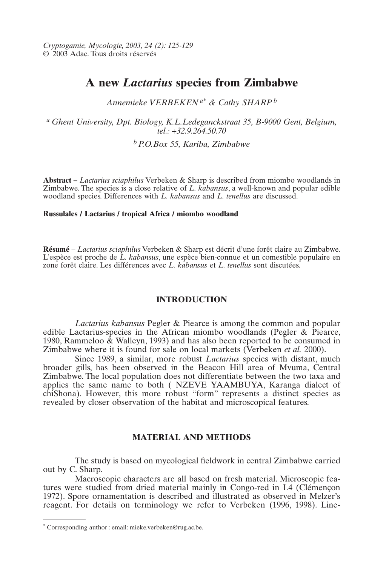*Cryptogamie, Mycologie, 2003, 24 (2): 125-129* © 2003 Adac. Tous droits réservés

# **A new** *Lactarius* **species from Zimbabwe**

*Annemieke VERBEKEN a\* & Cathy SHARP <sup>b</sup>*

*a Ghent University, Dpt. Biology, K.L.Ledeganckstraat 35, B-9000 Gent, Belgium, tel.: +32.9.264.50.70*

*bP.O.Box 55, Kariba, Zimbabwe*

**Abstract –** *Lactarius sciaphilus* Verbeken & Sharp is described from miombo woodlands in Zimbabwe. The species is a close relative of *L. kabansus*, a well-known and popular edible woodland species. Differences with *L. kabansus* and *L. tenellus* are discussed.

### **Russulales / Lactarius / tropical Africa / miombo woodland**

**Résumé** – *Lactarius sciaphilus* Verbeken & Sharp est décrit d'une forêt claire au Zimbabwe. L'espèce est proche de *L. kabansus*, une espèce bien-connue et un comestible populaire en zone forêt claire. Les différences avec *L. kabansus* et *L. tenellus* sont discutées.

## **INTRODUCTION**

*Lactarius kabansus* Pegler & Piearce is among the common and popular edible Lactarius-species in the African miombo woodlands (Pegler & Piearce, 1980, Rammeloo  $\&$  Walleyn, 1993) and has also been reported to be consumed in Zimbabwe where it is found for sale on local markets (Verbeken *et al.* 2000).

Since 1989, a similar, more robust *Lactarius* species with distant, much broader gills, has been observed in the Beacon Hill area of Mvuma, Central Zimbabwe. The local population does not differentiate between the two taxa and applies the same name to both ( NZEVE YAAMBUYA, Karanga dialect of chiShona). However, this more robust "form" represents a distinct species as revealed by closer observation of the habitat and microscopical features.

# **MATERIAL AND METHODS**

The study is based on mycological fieldwork in central Zimbabwe carried out by C. Sharp.

Macroscopic characters are all based on fresh material. Microscopic features were studied from dried material mainly in Congo-red in L4 (Clémençon 1972). Spore ornamentation is described and illustrated as observed in Melzer's reagent. For details on terminology we refer to Verbeken (1996, 1998). Line-

<sup>\*</sup> Corresponding author : email: mieke.verbeken@rug.ac.be.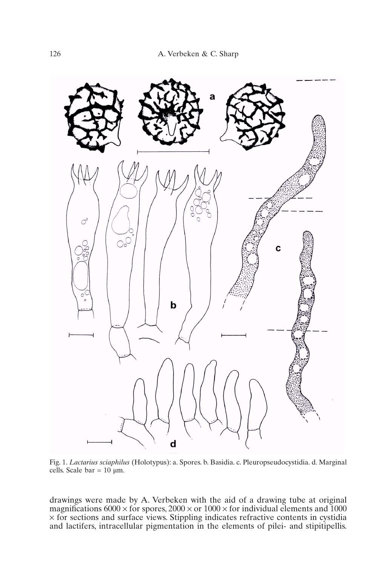

Fig. 1. *Lactarius sciaphilus* (Holotypus): a. Spores. b. Basidia. c. Pleuropseudocystidia. d. Marginal cells. Scale  $bar = 10 \mu m$ .

drawings were made by A. Verbeken with the aid of a drawing tube at original magnifications 6000  $\times$  for spores, 2000  $\times$  or 1000  $\times$  for individual elements and 1000 × for sections and surface views. Stippling indicates refractive contents in cystidia and lactifers, intracellular pigmentation in the elements of pilei- and stipitipellis.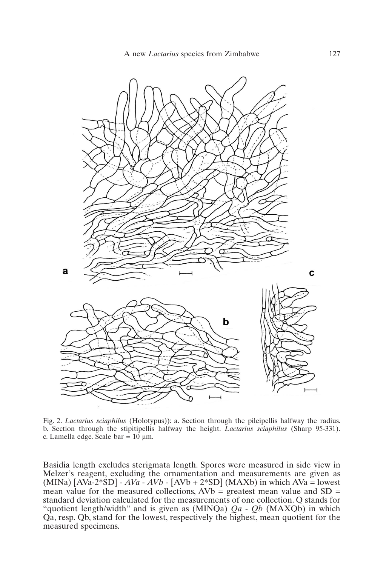

Fig. 2. *Lactarius sciaphilus* (Holotypus)): a. Section through the pileipellis halfway the radius. b. Section through the stipitipellis halfway the height. *Lactarius sciaphilus* (Sharp 95-331). c. Lamella edge. Scale bar =  $10 \mu m$ .

Basidia length excludes sterigmata length. Spores were measured in side view in Melzer's reagent, excluding the ornamentation and measurements are given as (MINa)  $[AVa-2*SD] - AVa - AVb - [AVb + 2*SD] (MAXb)$  in which  $AVa = lowest$ mean value for the measured collections,  $AVb =$  greatest mean value and  $SD =$ standard deviation calculated for the measurements of one collection. Q stands for "quotient length/width" and is given as (MINQa) *Qa* - *Qb* (MAXQb) in which Qa, resp. Qb, stand for the lowest, respectively the highest, mean quotient for the measured specimens.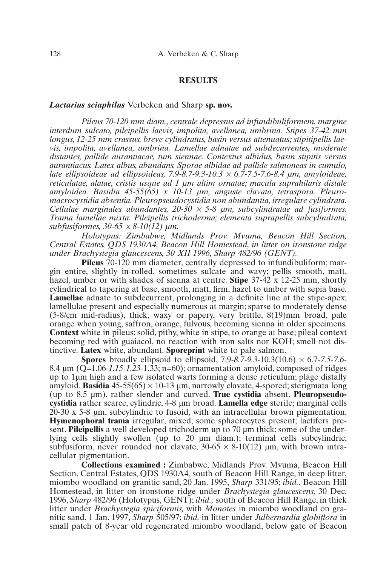#### **RESULTS**

#### *Lactarius sciaphilus* Verbeken and Sharp **sp. nov.**

*Pileus 70-120 mm diam., centrale depressus ad infundibuliformem, margine interdum sulcato, pileipellis laevis, impolita, avellanea, umbrina. Stipes 37-42 mm longus, 12-25 mm crassus, breve cylindratus, basin versus attenuatus; stipitipellis laevis, impolita, avellanea, umbrina. Lamellae adnatae ad subdecurrentes, moderate distantes, pallide aurantiacae, tum siennae. Contextus albidus, basin stipitis versus aurantiacus. Latex albus, abundans. Sporae albidae ad pallide salmoneas in cumulo, late ellipsoideae ad ellipsoideas, 7.9-8.7-9.3-10.3* <sup>×</sup> *6.7-7.5-7.6-8.4 µm, amyloideae, reticulatae, alatae, cristis usque ad 1 µm altim ornatae; macula suprahilaris distale amyloidea. Basidia 45-55(65) x 10-13 µm, anguste clavata, tetraspora. Pleuromacrocystidia absentia. Pleuropseudocystidia non abundantia, irregulare cylindrata. Cellulae marginales abundantes, 20-30* <sup>×</sup> *5-8 µm, subcylindratae ad fusiformes. Trama lamellae mixta. Pileipellis trichoderma; elementa suprapellis subcylindrata, subfusiformes, 30-65* <sup>×</sup> *8-10(12) µm.*

*Holotypus: Zimbabwe, Midlands Prov. Mvuma, Beacon Hill Section, Central Estates, QDS 1930A4, Beacon Hill Homestead, in litter on ironstone ridge under Brachystegia glaucescens, 30 XII 1996, Sharp 482/96 (GENT).*

**Pileus** 70-120 mm diameter, centrally depressed to infundibuliform; margin entire, slightly in-rolled, sometimes sulcate and wavy; pellis smooth, matt, hazel, umber or with shades of sienna at centre. **Stipe** 37-42 x 12-25 mm, shortly cylindrical to tapering at base, smooth, matt, firm, hazel to umber with sepia base. **Lamellae** adnate to subdecurrent, prolonging in a definite line at the stipe-apex; lamellulae present and especially numerous at margin; sparse to moderately dense (5-8/cm mid-radius), thick, waxy or papery, very brittle, 8(19)mm broad, pale orange when young, saffron, orange, fulvous, becoming sienna in older specimens. **Context** white in pileus; solid, pithy, white in stipe, to orange at base; pileal context becoming red with guaiacol, no reaction with iron salts nor KOH; smell not distinctive. **Latex** white, abundant. **Sporeprint** white to pale salmon.

**Spores** broadly ellipsoid to ellipsoid, 7.9-*8.7*-*9.3*-10.3(10.6) × 6.7-*7.5*-*7.6-* 8.4 µm (Q=1.06-*1.15-1.23-*1.33; n=60); ornamentation amyloid, composed of ridges up to 1µm high and a few isolated warts forming a dense reticulum; plage distally amyloid. **Basidia**  $45-55(65) \times 10-13$  µm, narrowly clavate, 4-spored; sterigmata long (up to 8.5 µm), rather slender and curved. **True cystidia** absent. **Pleuropseudocystidia** rather scarce, cylindric, 4-8 µm broad. **Lamella edge** sterile; marginal cells 20-30 x 5-8 µm, subcylindric to fusoid, with an intracellular brown pigmentation. **Hymenophoral trama** irregular, mixed; some sphaerocytes present; lactifers present. **Pileipellis** a well developed trichoderm up to 70 µm thick; some of the underlying cells slightly swollen (up to 20 µm diam.); terminal cells subcylindric, subfusiform, never rounded nor clavate,  $30\n-65 \times 8\n-10(12)$  µm, with brown intracellular pigmentation.

**Collections examined :** Zimbabwe, Midlands Prov. Mvuma, Beacon Hill Section, Central Estates, QDS 1930A4, south of Beacon Hill Range, in deep litter, miombo woodland on granitic sand, 20 Jan. 1995, *Sharp* 331/95; *ibid.*, Beacon Hill Homestead, in litter on ironstone ridge under *Brachystegia glaucescens,* 30 Dec. 1996, *Sharp* 482/96 (Holotypus, GENT); *ibid.,* south of Beacon Hill Range, in thick litter under *Brachystegia spiciformis,* with *Monotes* in miombo woodland on granitic sand, 1 Jan. 1997, *Sharp* 505/97; *ibid.* in litter under *Julbernardia globiflora* in small patch of 8-year old regenerated miombo woodland, below gate of Beacon